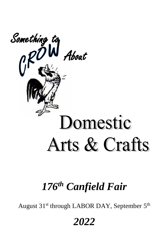

# *176th Canfield Fair*

August 31<sup>st</sup> through LABOR DAY, September 5<sup>th</sup>

*2022*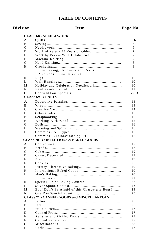# **TABLE OF CONTENTS**

| N <sub>0</sub> .<br>age |
|-------------------------|
|-------------------------|

# **Division**

# Item

|              | <b>CLASS 68 - NEEDLEWORK</b>                                    |           |
|--------------|-----------------------------------------------------------------|-----------|
| A            |                                                                 | $5 - 6$   |
| B            |                                                                 | 6         |
| C            |                                                                 | 6         |
| D            |                                                                 | 7         |
| E            |                                                                 | 7         |
| F            |                                                                 | 7         |
| G            |                                                                 | 8         |
| Н            |                                                                 | 8         |
| J            | Junior Sewing, Handwork and Crafts<br>*Includes Junior Ceramics | 9         |
| K            |                                                                 | 10        |
| L            |                                                                 | 10        |
| М            | Holiday and Celebration Needlework                              | 10        |
| N            |                                                                 | 11        |
| $\Omega$     |                                                                 | $12 - 13$ |
|              | <b>CLASS 69 - CRAFTS</b>                                        |           |
| A            |                                                                 | 14        |
| B            |                                                                 | 14        |
| C            |                                                                 | 14        |
| D            |                                                                 |           |
| E            |                                                                 | 15        |
| F            |                                                                 | 15        |
|              |                                                                 | 15        |
| G            |                                                                 | 16        |
| H            |                                                                 | 16        |
| I<br>J       |                                                                 | 16        |
|              | <b>CLASS 70 - CONFECTIONS &amp; BAKED GOODS</b>                 | 16        |
|              |                                                                 |           |
| A            |                                                                 | 17        |
| B            |                                                                 | 18        |
| C            |                                                                 | 19        |
| D            |                                                                 | 19        |
| E            |                                                                 | 19        |
| $\mathbf{F}$ |                                                                 | 20        |
| G            |                                                                 | 20        |
| H            |                                                                 | 20        |
| I            |                                                                 | 20        |
| J            |                                                                 | 21        |
| K            |                                                                 | 22        |
| L            |                                                                 | 23        |
| М            | Boo! Don't Be Afraid of this Charcuterie Board                  | 24        |
| N            |                                                                 | 25        |
|              | <b>CLASS 71 - CANNED GOODS and MISCELLANEOUS</b>                |           |
| A            |                                                                 | 26        |
| B            |                                                                 | 26        |
| C            |                                                                 | 27        |
| D            |                                                                 | 27        |
| E            |                                                                 | 27        |
| F            |                                                                 | 27        |
| G            |                                                                 | 28        |
| H            |                                                                 | 28        |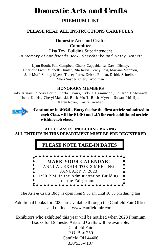# Domestic Arts and Crafts

# **PREMIUM LIST**

# **PLEASE READ ALL INSTRUCTIONS CAREFULLY**

#### **Domestic Arts and Crafts Committee**

Lisa Toy, Building Superintendent *In Memory of our friends Becky Shevchenko and Kathy Bennett* 

Lynn Booth, Pam Campbell, Cherry Cappabianca, Dawn Dickey, Charlotte Frost, Michelle Hunter, Rita Jarvis, Penny Less, Mariann Mannion, Jane Moff, Shirley Myers, Tracey Parks, Debbie Roman, Debbie Schreiber, Sheri Snyder, Cheryl Woolman

# **HONORARY MEMBERS**

Judy Arnaut, Sherry Berlin, Darla Evans, Sylvia Hammond, Pauline Holowach, Ilona Kubic, Cheryl Makoski, Barb Moff, Ruth Myers, Susan Phillips, Karen Royer, Karry Snyder



Continuing in 2022 - Entry fee for the first article submitted in each Class will be \$1.00 and .25 for each additional article within each class.

# **ALL CLASSES, INCLUDING BAKING ALL ENTRIES IN THIS DEPARTMENT MUST BE PRE-REGISTERED**

# **PLEASE NOTE TAKE-IN DATES**



The Arts & Crafts Bldg. is open from 9:00 am until 10:00 pm during fair

Additional books for 2022 are available through the Canfield Fair Office and online at www.canfieldfair.com.

Exhibitors who exhibited this year will be notified when 2023 Premium Books for Domestic Arts and Crafts will be available.

> Canfield Fair P.O. Box 250 Canfield OH 44406 330/533-4107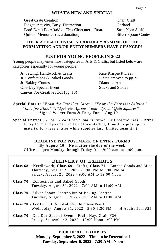# **WHAT'S NEW AND SPECIAL**

Great Crate Creation Chair Craft Fidget, Activity, Busy, Distraction Garland Boo! Don't Be Afraid of This Charcuterie Board Strut Your Stuff Quilted Memories (as a donation) Silver Spoon Contest

### **LOOK AT EACH DIVISION CARFULLY AS SOME OF THE FORMATTING AND/OR ENTRY NUMBERS HAVE CHANGED!**

# **JUST FOR YOUNG PEOPLE IN 2022**

Young people may enter most categories in Arts & Crafts, but listed below are categories especially for young people:

Jr. Sewing, Handwork & Crafts Rice Krispie® Treat Jr. Confections & Baked Goods Piñata \*moved to pg. 9 Jr. Baking Contest Diamond Art One-Day Special Event Sticks and Stones Canvas For Creative Kids (pg. 13)

**Special Entries** "*From the Fair that Cares," "From the Fair that Salutes," "Lids for Kids," "Fidget, etc. Aprons," and" Special Quilt Squares"*  Signed Waiver Form & Entry Form--Aug 10

**Special Entries** (pg. 13) *"Great Crate" and "Canvas For Creative Kids"-* Bring Entry form and payment to fair office starting **June 1st -** pick up the material for these entries while supplies last (limited quantity.)

# **DEADLINE FOR POSTMARK OF ENTRY FORMS By August 10 – No matter the day of the week**

Office is open Monday through Friday from 9:00 a.m. to 4:00 p.m.

# **DELIVERY OF EXHIBITS**

- **Class 68** Needlework; **Class 69** Crafts; **Class 71** Canned Goods and Misc. Thursday, August 25, 2022 - 5:00 PM to 8:00 PM or Friday, August 26, 2022 - 9:00 AM to 12:00 Noon
- **Class 70** Confections and Baked Goods Tuesday, August 30, 2022 - 7:00 AM to 11:00 AM
- **Class 70** Silver Spoon Contest/Junior Baking Contest Tuesday, August 30, 2022 - 7:00 AM to 11:00 AM
- **Class 70** -Boo! Don't Be Afraid of This Charcuterie Board Wednesday, August 31, 2022 - 5:30-6:30 PM - 4-H Auditorium #25
- **Class 70** One Day Special Event-- Fruit, Hay, Grain #26 Friday, September 2, 2022 - 12:00 Noon-1:00 PM

**PICK UP ALL EXHIBITS Monday, September 5, 2022 – Time to be Determined Tuesday, September 6, 2022 - 7:30 AM - Noon**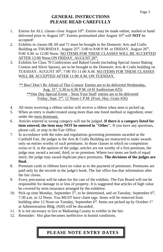# **GENERAL INSTRUCTIONS PLEASE READ CAREFULLY**

- 1. Entries for ALL classes close August  $10<sup>th</sup>$ . Entries may be made online, mailed or hand delivered prior to August 10<sup>th</sup>. Entries postmarked after August 10<sup>th</sup> will **NOT** be accepted!
- 2. Exhibits in classes 68, 69 and 71 must be brought to the Domestic Arts and Crafts Building on THURSDAY, August  $25<sup>th</sup>$ , 5:00 to 8:00 P.M. or FRIDAY, August  $26<sup>th</sup>$ , 9:00 A.M. to 12:00 Noon. NO ITEMS FOR THESE CLASSES WILL BE ACCEPTED AFTER 12:00 Noon ON FRIDAY, AUGUST 26th.
- 3. Exhibits for Class 70 Confections and Baked Goods (including Special Junior Baking Contest and Silver Spoon), are to be brought to the Domestic Arts & Crafts building on TUESDAY, AUGUST 30<sup>th</sup>, 7:00 TO 11:00 A.M. NO ITEMS FOR THESE CLASSES WILL BE ACCEPTED AFTER 11:00 A.M. ON TUESDAY.

\*\* Boo! Don't Be Afraid of This Contest Entries are to be delivered Wednesday, Aug. 31st, 5:30 to 6:30 P.M. (4-H Auditorium #25) \*\*One Day Special Event – Strut Your Stuff entries are to be delivered Friday, Sept. 2<sup>nd</sup>, 12 Noon-1 P.M. (Fruit, Hay, Grain #26)

- 4. All items receiving a ribbon sticker will receive a ribbon when item is picked up.
- 5. When an entry is made/created using more than one listed method or ingredient, enter under the most dominant.
- 6. Articles entered in wrong category will not be judged. **If there is a category listed for item entered, the item may NOT be entered in "Other".** If you have any questions, please call, or stop in the Fair Office.
- 7. In accordance with the rules and regulations governing premiums awarded at the Canfield Fair, the judges in the Arts & Crafts Building are instructed to make awards only on entries worthy of such premiums. In those classes in which no competition exists or if, in the opinion of the judge, articles are not worthy of a first premium, the judge may award a second, third, or no premium. Where two items are both of equal merit, the judge may award duplicate place premiums. **The decisions of the judges are final.**
- 8. Premium cards or ribbons have no value as to the payment of premiums. Premiums are paid only by the records in the judge's book. The fair office has that information after the fair closes.
- 9. Every precaution will be taken for the care of the exhibits. The Fair Board will not be responsible for damage to or loss of property. It is suggested that articles of high value be covered by term insurance arranged by the exhibitor.
- 10. Pick up time Monday, September  $5<sup>th</sup>$ , to be determined, and on Tuesday, September  $6<sup>th</sup>$ , 7:30 a.m. to 12 Noon. You MUST have claim tags. Items will be removed from building after 12 Noon on Tuesday, September  $6<sup>th</sup>$ . Items not picked up by October  $1<sup>st</sup>$ at Administration Bldg. (#20) will be discarded.
- 11. It is not necessary to live in Mahoning County to exhibit in the fair.
- 12. Reminder: Hot glue becomes ineffective in humid conditions.

# **PLEASE NOTE ENTRY DATES**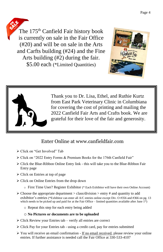The 175<sup>th</sup> Canfield Fair history book is currently on sale in the Fair Office (#20) and will be on sale in the Arts and Carfts building (#24) and the Fine Arts building (#2) during the fair. \$5.00 each (\*Limited Quantities)





Thank you to Dr. Lisa, Ethel, and Ruthie Kurtz from East Park Veterinary Clinic in Columbiana for covering the cost of printing and mailing the 2022 Canfield Fair Arts and Crafts book. We are grateful for their love of the fair and generosity.

# Enter Online at www.canfieldfair.com

- ➢ Click on "Get Involved" Tab
- ➢ Click on "2022 Entry Forms & Premium Books for the 176th Canfield Fair"
- ➢ Click the Blue-Ribbon Online Entry link this will take you to the Blue-Ribbon Fair Entry page
- ➢ Click on Entries at top of page
- ➢ Click on Online Entries from the drop down
	- o First Time User? Register Exhibitor (\* Each Exhibitor will have their own Online Account)
- $\triangleright$  Choose the appropriate department  $\triangleright$  class/division  $\triangleright$  entry # and quantity to add exhibitor's entries (\*Exhibitor can enter all A/C entries online except Div. O #356 and #366 on pg. 13 which needs to be picked up and paid for at the Fair Office – limited quantities available after June  $1<sup>st</sup>$ )
	- o Repeat this step for each entry being added

#### o **No Pictures or documents are to be uploaded**

- ➢ Click Review your Entries tab verify all entries are correct
- ➢ Click Pay for your Entries tab using a credit card, pay for entries submitted
- ➢ You will receive an email confirmation If no email received, please review your online entries. If further assistance is needed call the Fair Office at 330-533-4107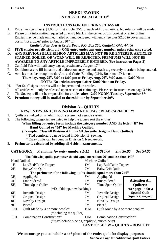#### **NEEDLEWORK**

#### **ENTRIES CLOSE AUGUST 10th**

#### **INSTRUCTIONS FOR ENTERING CLASS 68**

- A. Entry Fee (per class): \$1.00 for first article, 25¢ for each additional article. No refunds will be made.
- B. Please print information requested on entry blank in the center of this booklet or enter online. Entries may be made online, mailed or hand delivered with entry fee plus \$2.00 to cover mailing costs, (not articles) prior to August  $10<sup>th</sup>$  to:

#### *Canfield Fair, Arts & Crafts Dept., P.O. Box 250, Canfield, Ohio 44406*

- C. **FIVE entries per division; only ONE entry under any entry number unless otherwise stated.**
- D. **ANY PREVIOUS BLUE RIBBON ARTICLES MAY NOT BE RE-ENTERED**. **ARTICLES STAINED, SOILED, OR WORN WILL BE REJECTED, PREMIUMS WILL NOT BE AWARDED TO ANY ARTICLE IMPROPERLY ENTERED. (See instruction Pages 3)**
- E. Canfield Fair will mail entry tags approximately August  $17<sup>th</sup>$ .
- F. Exhibitors are to fill in name and address on entry tag and attach tag securely to article being entered.
- G. Articles must be brought to the Arts and Crafts Building (#24), Boardman Drive on: **Thursday, Aug. 25th, 5:00 to 8:00 pm** or **Friday, Aug. 26th, 9:00 a.m. to 12:00 Noon**

# **NOTE: No articles accepted after 12:00 Noon on Friday.**

- H. "For Sale" signs or cards will not be permitted on articles.
- I. All articles will only be released upon receipt of claim tags. Please see instructions on page 3 #10.
- J. The Society will not be responsible for articles **after 12:00 NOON, Tuesday, September 6th .**
- K. **Premium money will be mailed to the exhibitor by September 30th .**

### **Division A - QUILTS**

#### **NEW ENTRY AND JUDGING FORMAT. PLEASE READ CARFEULLY!**

- 1. Quilts are judged on an elimination system, not a grade system.
- 2. The following categories are listed to help the judges sort the entries:

#### **When filling out entry form, include the category number AND the letter "H" for Hand Quilted or "M" for Machine Quilted.**

- **(Example: Class 68 Division A Entry 6H Juvenile Design – Hand Quilted)**
	- \* Tied comforters can be found in Division B Sewing.
	- \* Crazy quilts can be found in Division C Needlework.
- 3. **Perimeter is calculated by adding all 4 side measurements.**

#### **CATEGORY** *Premiums for entry numbers 1-11 1st \$10.00 2nd \$6.00 3rd \$4.00*

|                               | The following quilts perimeter should equal more than 96" and less than 240" |      |                                 |                        |  |  |
|-------------------------------|------------------------------------------------------------------------------|------|---------------------------------|------------------------|--|--|
| Hand Ouilted                  |                                                                              |      | Machine Ouilted                 |                        |  |  |
| 1H.                           | Lap/Bed/Table Topper                                                         | 1М.  | Lap/Bed/Table Topper            |                        |  |  |
| 2H.                           | Baby/Crib Quilt                                                              | 2M.  | Baby/Crib Quilt                 |                        |  |  |
|                               | The perimeter of the following quilts should equal more than 240"            |      |                                 |                        |  |  |
| 3H.                           | Appliquéd                                                                    | 3M.  | Appliquéd                       |                        |  |  |
| 4H.                           | Embroidered                                                                  | 4M.  | Embroidered                     | <b>Attention All</b>   |  |  |
| 5H.                           | Time Span Quilt*                                                             | 5M.  | Time Span Quilt*                | <b>Ouilters:</b>       |  |  |
| $(*Ex. Old top, new backing)$ |                                                                              |      |                                 | *See page 13 for a     |  |  |
| 6H.                           | Juvenile Design                                                              | 6М.  | Juvenile Design                 | <b>Special Ouilt</b>   |  |  |
| 7H.                           | Original Design                                                              | 7M.  | Original Design                 | <b>Square Category</b> |  |  |
| 8H.                           | Novelty Design                                                               | 8M.  | Novelty Design                  |                        |  |  |
| 9H.                           | Pieced                                                                       | 9M.  | Pieced                          |                        |  |  |
| 10H.                          | Ouilt Made by 3 or more people*                                              | 10M. | Ouilt Made by 3 or more people* |                        |  |  |
|                               | (*including the quilter)                                                     |      |                                 |                        |  |  |
| 11H.                          | Combination Construction*                                                    | 11M. | Combination Construction*       |                        |  |  |
|                               | (*may include piecing, appliqué, embroidery)                                 |      |                                 |                        |  |  |
|                               | <b>BEST OF SHOW - OUILTS - ROSETTE</b>                                       |      |                                 |                        |  |  |

**We encourage you to include a 4x6 photo of the entire quilt for display purposes See Next Page for Additional Quilt Entries**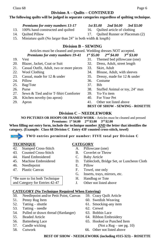#### **Division A – Quilts – CONTINUED**

#### **The following quilts will be judged in separate categories regardless of quilting technique.**

#### *Premiums for entry numbers 13-17 1st \$5.00 2nd \$4.00 3rd \$3.00*

- 
- 
- 
- 15. Miniature quilt (No larger than 24" in both width & length)

#### **Division B – SEWING**

# Articles must be cleaned and pressed. Wedding dresses NOT accepted.

#### *Premiums for entry numbers 19-41 1st \$5.00 2nd \$4.00 3rd \$3.00*

- 
- 20. Blazer, Jacket, Coat or Suit 32. Dress, Adult, street length
- 21. Casual Outfit, Adult, two or more pieces 33. Skirt, Adult 22. Wool Clothing 34. Blouse, Adu
- 
- 
- 
- 25. Bag/Tote 37. Bib
- 
- 27. Sewn & Tied and/or T-Shirt Comforter 39. Yo-Yo item
- 28. Kitchen novelty (no apron) 40. For Your Pet
- 
- 19. Vest 31. Themed bed pillowcase (one)
	-
	-
	- 34. Blouse, Adult, with sleeves
- 23. Casual, made for 12 & under 35. Dressy, made for 12 & under
- 24. Pillow 36. Costume
	-
- 26. Purse 38. Stuffed Animal or toy, 24" max
	-
	-
- 29. Apron 41. Other not listed above
	- **BEST OF SHOW - SEWING - ROSETTE**

#### **Division C – NEEDLEWORK**

**NO PICTURES OR HOOPS OR FRAMED WORK -** Articles must be cleaned and pressed **Premiums: 1st \$4.00 2nd \$3.00 3rd \$2.00**

**When filling out entry form, include the technique number AND the letter that identifies the category. (Example: Class 68 Division C Entry 43F counted cross-stitch, towel)**

**TWO entries permitted per number: FIVE total per Division C**

- 42. Stamped Cross-Stitch A. Pillowcase (one)
- 43. Counted Cross-Stitch B. Coverlet or Throw
- 44. Hand Embroidered C. Baby Article
- 

\*Be sure to list both Technique and Category for Entries 42-47

- 46. Needlepoint E. Pillow
- 

#### **TECHNIQUE CATEGORY**

- 
- 
- 
- 45. Machine Embroidered D. Tablecloth, Bridge Set, or Luncheon Cloth
	-
- 47. Plastic Canvas F. Towel, one only
	- G. Inserts, trays, mirrors, etc.
	- H. Handbag or Tote
	- J. Other not listed above

#### **CATEGORY (No Technique Required When Entering)**

- 50. Needlepoint and/or Petit Point, Canvas 59. Crazy Quilt Article
- 
- 
- 53. Tatting needle 62. Crewel
- 54. Pulled or drawn thread (Hardanger) 63. Bobbin Lace
- 
- 
- 57. Candle wicking (Not a Rug see pg. 10)
- 
- 
- 51. Penny Rug Item 60. Swedish Weaving
- 52. Tatting shuttle 61. Smocking-any item
	-
	-
- 55. Beaded Article 64. Ribbon Embroidery
- 56. Battenberg Lace 65. Hooked or Punched Item
- 58. Cutwork 66. Other not listed above
- 13. 100% hand constructed and quilted 16. Quilted article of clothing
- 14. Quilted Pillow 17. Quilted Runner or Placemats (2)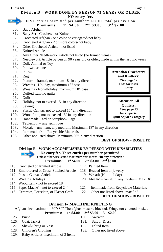#### Class 68 Page 7

**Division D** - **WORK DONE BY PERSON 75 YEARS OR OLDER NO entry fee.** 

Reminder

#### FIVE entries permitted per number: EIGHT total per division **Premiums: 1 st \$4.00 2nd \$3.00 3rd \$2.00**

- 80. Baby Afghan
- 81. Baby Set Crocheted or Knitted
- 82. Crocheted Afghan one color or variegated-not baby
- 83. Crocheted Afghan 2 or more colors-not baby
- 84. Other Crocheted Article not listed
- 85. Knitted Article
- 86. Any Other Needlework Article not listed (no framed items)
- 87. Needlework Article by person 90 years old or older, made within the last two years
- 88. Doll, Animal or Toy
- 89. Pillowcase, one
- 90. Pillow
- 91. Rug
- 92. Picture framed, maximum 18" in any direction
- 93. Wreaths Holiday, maximum 18" base
- 94. Wreaths Non-Holiday, maximum 18" base
- 95. Quilted item-no quilts
- 96. Quilt
- 97. Holiday, not to exceed 15" in any direction
- 98. Sewing
- 99. Plastic Canvas, not to exceed 15" any direction
- 100. Wood Item, not to exceed 18" in any direction
- 101. Handmade Card or Scrapbook Page
- 102. Tablecloth any technique
- 103. Mosaic any item, any medium. Maximum 18" in any direction
- 104. Item made from Recyclable Materials
- 105. Other not listed above. Maximum 36" in any direction

#### **BEST OF SHOW - ROSETTE**

#### **Division E - WORK ACCOMPLISHED BY PERSON WITH DISABILITIES**

#### **No entry fee. Three entries per number permitted**.

Unless otherwise stated maximum size means **"in any direction" st \$4.00 2nd \$3.00 3rd \$2.00**

- **Premiums: 1**
- 110. Crocheted or Knitted Article 117. Painted Item 111. Embroidered or Cross-Stitched Article 118. Beaded Item or jewelry
- 112. Plastic Canvas Article 119. Wreath (Non-holiday)
- 113. Wreath (Holiday) 120. Mosaic any item, any medium. Max 18"
- 114. Wood Item not to exceed 18"
- 
- 116. Ceramics, Porcelain, or Plaster Craft 122. Other not listed above, max 36"
- 115. Paper Mache` not to exceed 24" 121. Item made from Recyclable Materials
	-

## **BEST OF SHOW - ROSETTE**

# **Division F- MACHINE KNITTING**

Afghan size maximum - 60"x80" The afghan must be blocked. Fringe not counted in size.

#### **Premiums: 1 st \$4.00 2nd \$3.00 3rd \$2.00**

- 
- 126. Coat, Jacket 131. Suit or Dress
- 127. Shawl/Shrug or Vest 132. Felted Item
- 
- 129. Baby Articles, maximum of 3 items
- 125. Purse 130. Sweater
	-
	-
- 128. Children's Clothing 133. Other not listed above

**Attention Crocheters and Knitters: \*See page 12 Lids for Kids Entry**

**Attention All Quilters: \*See page 13 for a Special Quilt Square Category**

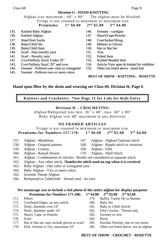#### **Division G - HAND KNITTING**

Afghan size maximum - 60" x 80" The afghan must be blocked. Fringe is not counted in minimum or maximum size

#### **Premiums: 1**

- 135. Knitted Baby Afghan 146. Sweater cardigan
- 
- 
- 
- 139. Baby/Child Item 150. Hat or Hat Set
- 140. Scarf Non-novelty yarn 151. Vest
- 141. Scarf Novelty yarn 152. Felted Item
- 142 Cowl/Infinity Scarf, Under 28" 153. Knitted Beaded item
- 
- 144. Sweater Pullover-one color or variegated 155. Other not listed above hand knit
- 145. Sweater Pullover-two or more colors

# **st \$6.00 2nd \$5.00 3rd \$4.00**

- 
- 136. Knitted Afghan 147. Shawl/Cape/Poncho
- 137. Hand Knit Socks 148. Coat/Jacket/Shrug
- 138. Baby/Child Set 149. Mittens or Gloves
	-
	-
	-
	-
- 143. Cowl/Infinity Scarf, 29" and over 154. Article-Yarn spun & knitted by exhibitor
	-

**BEST OF SHOW - KNITTING – ROSETTE**

**Hand spun fiber by the skein and weaving see Class 69, Division H, Page 6**

**Knitters and Crocheters \*See Page 12 for Lids for Kids Entry**

#### **Division H – CROCHETING**

Afghan/Bedspread size min. 36" x 48", max. 60" x 80" Baby Afghan size 48" maximum in any direction

#### **NO FRAMED ARTICLES**

Fringe is not counted in minimum or maximum size **Premiums for Numbers 157-170: 1 st \$6.00 2 nd \$5.00 3rd \$4.00**

- 
- 
- 159. Afghan Granny 169. Afghan Filet
- 160. Afghan Raised Flower 170. Afghan Shell Stitch
- 161. Afghan Combination of stitches Border not considered as separate stitch.
- 162. Afghan Any other stitch, \***handwrite stitch used on tag when it is received**
- 163. Baby Afghan One color or variegated yarn
- 164. Baby Afghan Two or more colors
- 165. Juvenile Theme Afghan
- 

#### **We encourage you to include a 4x6 photo of the entire afghan for display purposes Premiums for Numbers 171-186: 1st \$4.00 2nd \$3.00 3rd \$2.00**

- 171. Pillow 179. Buffet, Vanity Set or Runner
- 172. Crocheted Edges, on any article 180. Baby Set
- 173. Doily, diameter over 14" 181. Baby or Child Article
- 174. Doily, diameter under 14" 182. Filet Crochet Thread only
- 175. Shawl, Cape, or Poncho 183. Sweater or vest
- 176. Scarf 184. Purse
- 177. Hat or Hat set, may include gloves or scarf 185. Kitchen Novelty, one or two items
- 178. Doll, Animal or Toy, maximum 24" 186. Other not listed above, not an afghan
- 157. Afghan Medallion 167. Afghan Afghan/Tunisian stitch
- 158. Afghan Original pattern 168. Afghan Ripple stitch or variation

**BEST OF SHOW - CROCHET - ROSETTE**

- 
- 
- 
- 
- 
- 
- 
- 166. Bedspread or Tablecloth thread used no yarn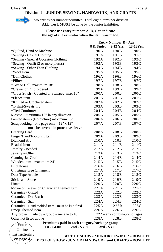#### **Division J - JUNIOR SEWING, HANDWORK, AND CRAFTS**



Online Instructions on page 4

Reminder Two entries per number permitted. Total eight items per division. **ALL work MUST** be done by the Junior Exhibitor.

#### **Please use entry number A, B, C to indicate the age of the exhibitor when the item was made**.

|                                                        |           | <b>Entry Number By Age</b>      |           |
|--------------------------------------------------------|-----------|---------------------------------|-----------|
|                                                        | 8 & Under | $9-12$ Yrs.                     | 13-18Yrs. |
| *Quilted, Hand or Machine                              | 190A      | 190B                            | 190C      |
| *Sewing - Casual Clothing                              | 191A      | 191B                            | 191C      |
| *Sewing - Special Occasion Clothing                    | 192A      | 192B                            | 192C      |
| *Sewing - Outfit (2 or more pieces)                    | 193A      | 193B                            | 193C      |
| *Sewing - Other Than Clothing                          | 194A      | 194B                            | 194C      |
| *Wool Item                                             | 195A      | 195B                            | 195C      |
| *Doll Clothes                                          | 196A      | 196B                            | 196C      |
| *Pillow                                                | 197A      | 197B                            | 197C      |
| *Toy or Doll, maximum 18"                              | 198A      | 198B                            | 198C      |
| *Crewel or Embroidered                                 | 199A      | 199B                            | 199C      |
| *Cross Stitch - Counted or Stamped, max 18"            | 200A      | 200B                            | 200C      |
| *Fleece item                                           | 201A      | 201B                            | 201C      |
| *Knitted or Crocheted item                             | 202A      | 202B                            | 202C      |
| *T-shirt/Sweatshirt                                    | 203A      | 203B                            | 203C      |
| *Tied Comforter                                        | 204A      | 204B                            | 204C      |
| Mosaic – maximum $18"$ in any direction                | 205A      | 205B                            | 205C      |
| Painted item - (No picture) maximum 15"                | 206A      | 206B                            | 206C      |
| Scrapbooking - one page only - 12" x 12"               | 207A      | 207B                            | 207C      |
| - must be covered in protective sleeve                 |           |                                 |           |
| Greeting Card                                          | 208A      | 208B                            | 208C      |
| Finger/Hand/Footprint Item                             | 209A      | 209B                            | 209C      |
| Diamond Art                                            | 210A      | 210B                            | 210C      |
| <b>Beaded Item</b>                                     | 211A      | 211B                            | 211C      |
| Jewelry - Beaded                                       | 212A      | 212B                            | 212C      |
| Jewelry - Other                                        | 213A      | 213B                            | 213C      |
| Canning Jar Craft                                      | 214A      | 214B                            | 214C      |
| Wooden item - maximum 24"                              | 215A      | 215B                            | 215C      |
| <b>Bird House</b>                                      | 216A      | 216B                            | 216C      |
| Christmas Tree Ornament                                | 217A      | 217B                            | 217C      |
| Duct Tape Article                                      | 218A      | 218B                            | 218C      |
| <b>Sticks and Stones</b>                               | 219A      | 219B                            | 219C      |
| Piñata                                                 | 220A      | 220B                            | 220C      |
| Movie or Television Character Themed Item              | 221A      | 221B                            | 221C      |
| Ceramics - Glazed                                      | 222A      | 222B                            | 222C      |
| Ceramics - Dry Brush                                   | 223A      | 223B                            | 223C      |
| Ceramics - Stain                                       | 224A      | 224B                            | 224C      |
| Ceramics - Hand molded item - must be kiln fired       | 225A      | 225 <sub>B</sub>                | 225C      |
| Emoji Themed Item                                      | 226A      | 226B                            | 226C      |
| Any project made by a group - any age to 18            |           | $227 =$ any combination of ages |           |
| Other not listed above                                 | 228A      | 228B                            | 228C      |
| Premiums paid in each category/each age group<br>Enter |           |                                 |           |
|                                                        |           |                                 |           |

**Premiums paid in each category/each age group 1st - \$4.00 2nd - \$3.50 3rd - \$3.00**

**BEST OF SHOW - \*JUNIOR SEWING \* - ROSETTE BEST OF SHOW - JUNIOR HANDWORK and CRAFTS – ROSETTE**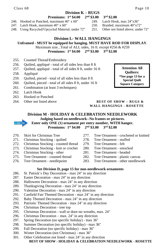#### Class 68 Page 10

#### **Division K – RUGS**

- **Premiums: 1st \$4.00 2nd \$3.00 3rd \$2.00**
- 246. Hooked or Punched, maximum 40" x 60" 249. Latch Hook, max 24"x36"
- 247. Latch Hook, maximum 40" x 60" 250. Braided, maximum 40"x72"
- 248. Using Recycled/Upcycled Material, under 72" 251. Other not listed above, under 72"

## **Division L- WALL HANGINGS**

**Unframed - MUST be equipped for hanging. MUST HAVE ROD FOR DISPLAY**.

Maximum size...Total of ALL sides, 16 ft. except #256 & #259

**Premiums: 1st \$4.00 2nd \$3.00 3rd \$2.00**

- 255. Counted Thread/Embroidery
- 256. Quilted, appliqué total of all sides less than 8 ft
- 257. Quilted, appliqué total of all sides 8 ft, under 16 ft
- 258. Appliqué
- 259. Quilted, pieced total of all sides less than 8 ft
- 260. Quilted, pieced total of all sides 8 ft, under 16 ft
- 261. Combination (at least 3 techniques)
- 262. Latch Hook
- 263. Hooked or Punched
- 

**Attention All Quilters: \*See page 13 for a Special Quilt Square Category**

#### 264. Other not listed above **BEST OF SHOW – RUGS & WALL HANGINGS - ROSETTE**

# **Division M - HOLIDAY & CELEBRATION NEEDLEWORK Judging based on needlework--No frames or pictures. Enter only ONE (1) ornament per entry number, WITH hanger.**

**Premiums: 1st \$4.00 2nd \$3.00 3rd \$2.00**

- 
- 271. Christmas Stocking quilted 278. Tree Ornament stuffed
- 272. Christmas Stocking counted thread 279. Tree Ornament felt
- 273. Christmas Stocking knit or crochet 280. Tree Ornament smocked
- 274. Christmas Stocking other 281. Tree Ornament beaded
- 275. Tree Ornament counted thread 282. Tree Ornament plastic canvas
- 
- 270. Skirt for Christmas Tree 277. Tree Ornament crocheted or knitted
	-
	-
	-
	-
	-
- 276. Tree Ornament needlepoint 283. Tree Ornament other needlework

#### **See Division D, page 15 for non-needlework ornaments**

- 286. St. Patrick's Day Decoration max 24" in any direction
- 287. Easter Decoration max 24" in any direction
- 288. Halloween Decoration max 24" in any direction
- 289. Thanksgiving Decoration max 24" in any direction
- 290. Valentine Decoration max 24" in any direction
- 291. Canfield Fair Themed Decoration max 24" in any direction
- 292. Baby Themed Decoration max 24" in any direction
- 293. Patriotic Themed Decoration max 24" in any direction
- 294. Christmas Decoration tree top
- 295. Christmas Decoration wall or door-no wreaths, max. 24"
- 296. Christmas Decoration max. 24" in any direction
- 297. Spring Decoration (no specific holiday) max 36"
- 298. Summer Decoration (no specific holiday) max 36"
- 299. Fall Decoration (no specific holiday) max 36"
- 300. Winter Decoration (not Christmas) max 36"
- 301. Other Celebration not listed max 24" in any direction **BEST OF SHOW - HOLIDAY & CELEBRATION NEEDLEWORK - ROSETTE**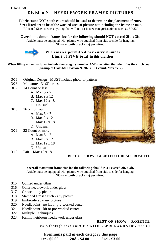### **Division N – NEEDLEWORK FRAMED PICTURES**

**Fabric count NOT stitch count should be used to determine the placement of entry. Sizes listed are to be of the worked area of picture not including the frame or mat.** "Unusual Size" means anything that will not fit in size categories given, such as 8"x22"

**Overall maximum frame size for the following should NOT exceed 2ft. x 3ft.**

Article must be equipped with picture wire attached from side to side for hanging. **NO saw tooth bracket(s) permitted.**



**TWO entries permitted per entry number. Limit of FIVE total in this division**

**When filling out entry form, include the category number AND the letter that identifies the stitch count. (Example: Class 68, Division N, 307B – 14 count, Max 9x12)**

- 305. Original Design MUST include photo or pattern
- 306. Miniature 3"x3" or less
- 307. 14 Count or less
	- A. Max 5 x 7
	- B. Max 9 x 12
	- C. Max 12 x 18
	- D. Unusual
- 308. 16 or 18 Count
	- A. Max 5 x 7
		- B. Max 9 x 12
		- C. Max 12 x 18
	- D. Unusual
- 309. 22 Count or more
	- A. Max 5 x 7
	- B. Max 9 x 12
	- C. Max 12 x 18
	- D. Unusual
- 310. Pair Max 12 x 18



#### **BEST OF SHOW - COUNTED THREAD - ROSETTE**

**Overall maximum frame size for the following should NOT exceed 2ft. x 3ft.** Article must be equipped with picture wire attached from side to side for hanging. **NO saw tooth bracket(s) permitted.**

- 315. Quilted under Glass
- 316. Other needlework under glass
- 317. Crewel any picture
- 318. Stamped Cross Stitch any picture
- 319. Embroidered any picture
- 320. Needlepoint no kit or pre-worked center
- 321. Needlepoint kit or pre-worked center
- 322. Multiple Techniques
- 323. Family heirloom needlework under glass

#### **BEST OF SHOW – ROSETTE #315 through #323 JUDGED WITH NEEDLEWORK (Division C)**

**Premiums paid in each category this page 1st - \$5.00 2nd - \$4.00 3rd - \$3.00**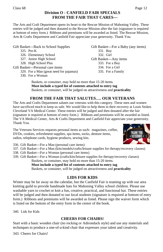# **Division O - CANFIELD FAIR SPECIALS FROM THE FAIR THAT CARES---**

The Arts and Craft Department opens its heart to the Rescue Mission of Mahoning Valley. These entries will be judged and then donated to the Rescue Mission after the fair (signature is required at bottom of entry form.) Ribbons and premiums will be awarded as listed. The Rescue Mission, Arts & Crafts Department and Canfield Fair appreciate your generosity. Thank You.

- Gift Basket---Back to School Supplies Gift Basket---For a Baby (any items)
	-
	- 326. Elementary School 332. Girl
	-
	- 328. High School Plus 333. For a Boy
- Gift Basket---Personal care items 334. For a Girl
	- 329. For a Man (great need for pajamas) 335. For a Family
		- 330. For a Woman
- 325. Pre-K 331. Boy 327. Junior High School Gift Basket---Any items

 Baskets, or container, may hold no more than 15-20 items. **Must include a typed list of contents attached to entry tag** Baskets, or container, will be judged on attractiveness and **practicality**

# **FROM THE FAIR THAT SALUTES…. OUR VETERANS**

The Arts and Crafts Department salutes our veterans with this category. These men and women have sacrificed much to keep us safe. We would like to help them in their recovery at Louis Stokes Cleveland VA Medical Center. These entries will be judged and then donated after the fair (signature is required at bottom of entry form.) Ribbons and premiums will be awarded as listed. The VA Medical Center, Arts & Crafts Department and Canfield Fair appreciate your generosity. Thank You.

The Veterans Services requests personal items as such: magazines, coffee, DVDs, cookies, refreshment supplies, spa items, socks, denture items, radios, telephone cards, hygiene products, sewing kits.



- 336. Gift Basket---For a Man (personal care items)
- 337. Gift Basket---For a Man (kits/models/crafts/leisure supplies for therapy/recovery classes)
- 338. Gift Basket---For a Woman (personal care items)
- 339. Gift Basket---For a Woman (crafts/kits/leisure supplies for therapy/recovery classes) Baskets, or container, may hold no more than 15-20 items.

**Must include a typed list of contents attached to entry tag** Baskets, or container, will be judged on attractiveness and **practicality**

# **LIDS FOR KIDS**

Winter may be far away on the calendar, but the Canfield Fair is teaming up with our area knitting guild to provide handmade hats for Mahoning Valley school children. Please use washable yarn to crochet or knit a fun, creative, practical, and functional hat. These entries will be judged and then donated to our local students (signature is required at bottom of entry form.) Ribbons and premiums will be awarded as listed. Please sign the waiver form which is listed on the bottom of the entry form in the center of the book.

340. Lids for Kids

## **CHEERS FOR CHAIRS!**

Start with a basic wooden chair (no rocking or Adirondack style) and use any materials and techniques to produce a one-of-a-kind chair that expresses your talent and creativity.

343. Cheers for Chairs!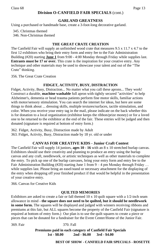#### **Division O-CANFIELD FAIR SPECIALS** (cont.)

#### **GARLAND GREATNESS**

Using a purchased or handmade base, create a 3-foot-long decorative garland.

345. Christmas themed

346. Non-Christmas themed

#### **THE GREAT CRATE CREATION**

The Canfield Fair will supply an unfinished wood crate that measures 9.5 x 11.7 x 4.7 to the first 12 exhibitors who bring their entry form and entry fee to the Fair Administration Building (#20) starting **June 1** from 9:00 - 4:00 Monday through Friday while supplies last. **Entrants must be 17 or over.** This crate is the inspiration for your creative entry. Any technique and other materials may be used to showcase your talent and out of the "The Crate" thinking.

356. The Great Crate Creation

#### **FIDGET, ACTIVITY, BUSY, DISTRACTION**

Fidget, Activity, Busy, Distraction... No matter what you call these aprons... They work! Construct a durable, **machine washable** full apron with tightly secured "activities" to help Alzheimer's, dementia or head trauma patients perform fine motor skills, familiar actions with motor/sensory stimulation. You can search the internet for ideas, but here are some things to think about ... dressing skills, multiple textures/surfaces, tactile stimulation, and color. When you receive your entry tag in the mail, please indicate on the back whether this is for donation to a local organization (exhibitor keeps the ribbon/prize money) or for a loved one to be returned to the exhibitor at the end of the fair. These entries will be judged and then donated (signature is required at bottom of entry form.)

362. Fidget, Activity, Busy, Distraction made by Adult 363. Fidget, Activity, Busy, Distraction made by 18 yr. old or under

#### **CANVAS FOR CREATIVE KIDS - Junior Craft Contest**

The Canfield Fair will supply 14 juniors, **ages 10 - 16** with an 8 x 10 stretched burlap canvas. Exhibitors should use their creativity and planning to produce an entry using the burlap canvas and any craft, needlework, or artistic techniques as well as other materials to complete the entry. To pick up one of the burlap canvases, bring your entry form and entry fee to the Fair Administration Building (#20) starting June 1 from  $9 - 4$  pm Monday through Friday ... while supplies last. Please bring an easel/stand or necessary attachment for the displaying of the entry when dropping off your finished product if that would be helpful in the presentation of your creative entry.

366. Canvas for Creative Kids

#### **QUILTED MEMORIES**

Exhibitors are asked to create a fair or fall themed  $10 \times 10$  quilt square with a  $1/2$ -inch seam allowance in mind - **the square does not need to be quilted, but it should be needlework in some form.** The squares will be displayed and judged with winners receiving ribbons and premiums at this fair, but ALL squares become the property of the Canfield Fair (signature is required at bottom of entry form.) Our plan is to use the quilt squares to create a piece or pieces that can be donated for a fundraiser for the Event Center/Home of the Junior Fair.

369. Fair 370. Fall

**Premiums paid in each category of Canfield Fair Specials 1st - \$8.00 2nd - \$6.00 3rd - \$4.00**

#### **BEST OF SHOW - CANFIELD FAIR SPECIALS - ROSETTE**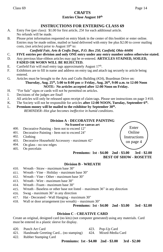# **CRAFTS**

#### **Entries Close August 10th**

### **INSTRUCTIONS FOR ENTERING CLASS 69**

- A. Entry Fee (per class): \$1.00 for first article, 25¢ for each additional article. No refunds will be made.
- B. Please print information requested on entry blank in the center of this booklet or enter online. Entries may be made online, mailed or hand delivered with entry fee plus \$2.00 to cover mailing costs, (not articles) prior to August  $10<sup>th</sup>$  to:

#### *Canfield Fair, Arts & Crafts Dept., P.O. Box 250, Canfield, Ohio 44406*

- C. **FIVE entries per division and only ONE entry under any entry number unless otherwise stated.**
- D. Any previous blue-ribbon articles may not be re-entered. **ARTICLES STAINED, SOILED, FADED OR WORN WILL BE REJECTED.**
- E. Canfield Fair will mail entry tags approximately August 17<sup>th</sup>.
- F. Exhibitors are to fill in name and address on entry tag and attach tag securely to article being entered.
- G. Articles must be brought to the Arts and Crafts Building (#24), Boardman Drive on:

#### **Thursday, Aug. 25th, 5:00 to 8:00 pm** or **Friday, Aug. 26th, 9:00 a.m. to 12:00 Noon NOTE: No articles accepted after 12:00 Noon on Friday.**

- H. "For Sale" signs or cards will not be permitted on articles.
- I. Decisions of the judges are final!
- J. All articles will only be released upon receipt of claim tags. Please see instructions on page 3 #10.
- K. The Society will not be responsible for articles **after 12:00 NOON, Tuesday, September 6th .**
- L. **Premium money will be mailed to the exhibitor by September 30th .** *REMINDER--Hot glue becomes ineffective in humid conditions*.

#### **Division A - DECORATIVE PAINTING**

**No framed or canvas art**

- 400. Decorative Painting Item not to exceed 12"
- 401. Decorative Painting Item not to exceed 24"
- 402. Clothing
- 403. Decorative Household Accessory maximum 42"
- 404. On glass no raw edges
- 405. On porcelain



**Premiums: 1st - \$4.00 2nd - \$3.00 3rd - \$2.00 BEST OF SHOW - ROSETTE**

#### **Division B - WREATH**

- 410. Wreath Straw maximum base 30"
- 411. Wreath Vine Holiday maximum base 30"
- 412. Wreath Vine Other maximum base 30"
- 413. Wreath Wire maximum base 30"
- 414. Wreath Foam maximum base 30"
- 415. Wreath Baseless or other base not listed maximum 36" in any direction
- 416. Swag maximum 36" in any direction
- 417. Hat Decorated Wall Hanging maximum 30"
- 418. Wall or door arrangement (no wreath) maximum 30"

**Premiums: 1st - \$4.00 2nd - \$3.00 3rd - \$2.00**

#### **Division C - CREATIVE CARD**

Create an original, designed card (no kits) (not computer generated) using any materials. Card must be entered in a plastic sleeve for display.

|  | 420. Punch Art Card |  | 423. Pop-Up Card |  |
|--|---------------------|--|------------------|--|
|--|---------------------|--|------------------|--|

- 421. Handmade Greeting Card... (no stamping) 424. Mixed-Media Card
- 422. Rubber Stamping Card

**Premiums: 1st - \$4.00 2nd - \$3.00 3rd - \$2.00**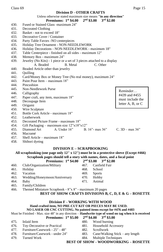#### **Division D - OTHER CRAFTS**

|      | Unless otherwise stated maximum size means "in any direction"<br>$3rd$ \$2.00<br>$2nd$ \$3.00<br>Premiums: $1st$ \$4.00 |                           |
|------|-------------------------------------------------------------------------------------------------------------------------|---------------------------|
| 430. | Fused or Stained Glass -maximum 24"                                                                                     |                           |
| 431. | <b>Decorated Clothing</b>                                                                                               |                           |
| 432. | Basket - not to exceed 18"                                                                                              |                           |
| 433. | Decorative Cover / Container                                                                                            |                           |
| 434. | Party Table Favors -NO centerpieces                                                                                     |                           |
| 435. | Holiday Tree Ornament - NON-NEEDLEWORK                                                                                  |                           |
| 436. | Holiday Decorations - NON-NEEDLEWORK - maximum 18"                                                                      |                           |
| 437. | Table Centerpiece - finished on all sides - maximum 12"                                                                 |                           |
| 438. | Memory Box - maximum 24"                                                                                                |                           |
| 439. | Jewelry (No Kits) - 1 piece or a set of 3 pieces attached to a display                                                  |                           |
|      | A. Beaded<br>B. Metal<br>C. Other                                                                                       |                           |
| 440. | Beaded Article other than jewelry                                                                                       |                           |
| 441. | Ouilling                                                                                                                |                           |
| 442. | Card/Money Box or Money Tree (No real money), maximum 24"                                                               |                           |
| 443. | Paint Pour Item – maximum 18"                                                                                           |                           |
| 444. | Pincushion                                                                                                              |                           |
| 445. | Non-Needlework Purse                                                                                                    |                           |
| 446. | Calligraphy                                                                                                             | Reminder                  |
| 447. | Paper craft, any item, maximum 18"                                                                                      | #439 and #455             |
| 448. | Decoupage Item                                                                                                          | must include the          |
| 449. | Origami                                                                                                                 | letter $A$ , $B$ , or $C$ |
| 450. | Wire Sculpture                                                                                                          |                           |
| 451. | Bottle Cork Article - maximum 18"                                                                                       |                           |
| 452. | Leatherwork                                                                                                             |                           |
| 453. | Decorated Picture Frame - maximum 18"                                                                                   |                           |
| 454. | Gift Packaging – maximum size $12"x18"x12"$                                                                             |                           |
| 455. | Diamond Art<br>A. Under $16$ "<br>B. $16$ " - max $36$ "                                                                | $C. 3D - max 36$ "        |
| 456. | Macramé                                                                                                                 |                           |
| 457. | Shell Article – maximum $18$ "                                                                                          |                           |
| 458. | Shibori dyeing                                                                                                          |                           |

#### **DIVISION E – SCRAPBOOKING**

**All scrapbooking (one page only 12" x 12") must be in a protective sleeve (Except #466) Scrapbook pages should tell a story with names, dates, and a focal point**<br> **Drawing a 1st \$4.00** and \$2.00 and \$2.00  $P = \frac{1}{3}$  **8**  $\frac{1}{3}$  **3.10**  $\frac{1}{3}$  **3.10**  $\frac{1}{3}$  **3.10**  $\frac{1}{3}$  **3.10**  $\frac{1}{3}$  **3.10**  $\frac{1}{3}$  **3.10**  $\frac{1}{3}$  **3.10**  $\frac{1}{3}$  **3.10**  $\frac{1}{3}$  **3.10**  $\frac{1}{3}$  **3.10**  $\frac{1}{3}$  **3.10**  $\frac{1}{3}$  **3.10**

|      | <b>Premiums:</b> $1^{20}$ $34.00$ $2^{20}$ $35.00$ $3^{20}$ $32.00$ |      |               |
|------|---------------------------------------------------------------------|------|---------------|
| 460. | Club/Organization/Military                                          | 467. | Canfield Fair |
| 461. | Holiday                                                             | 468. | School        |
| 462. | Vacation                                                            | 469. | <b>Sports</b> |
|      | 463. Wedding/Honeymoon/Anniversary                                  | 470. | Hobby         |
| 464. | Baby                                                                | 471. | Animal        |
| 465. | Family/Children                                                     |      |               |
| 100  |                                                                     |      |               |

466. Themed Miniature Scrapbook - 8"x 8" - maximum 20 pages

**BEST OF SHOW CRAFTS DIVISIONS B, C, D, E & G – ROSETTE**

#### **Division F - WORKING WITH WOOD**

#### **Hand crafted item, NO PRE-CUT KIT OR PIECES MAY BE USED.**

**NO LASER OR CNC CUTTING. No painted items except for #476 and #483**

#### Must be Finished - Max. size 48" in any direction – **Handwrite type of wood on tag when it is received**<br> **Dramiums:** 15t \$5.00, 2nd \$4.00, 2rd \$2.00 **Premiums: 1st \$5.00 2nd \$4.00 3rd \$3.00**

|      | Premiums: $1^\circ$ \$5.00 $2^\circ$ \$4.00 $3^\circ$ \$5.00 |      |                                                        |
|------|--------------------------------------------------------------|------|--------------------------------------------------------|
| 475. | Inlaid Item                                                  | 480. | Wood burning                                           |
|      | 476. Toy-Decorative or Practical                             |      | 481. Household Accessory                               |
|      | 477. Furniture/Casework - 25" - 48"                          | 482. | Scrollwork                                             |
|      | 478. Furniture/Casework - under 24"                          |      | 483. Cane/Walking Stick – any length                   |
| 479. | Turned Work                                                  |      | 484. Multiple Techniques                               |
|      |                                                              |      | BROT OR GUALLET IN O OBILIO BIZING<br><u>n o oinen</u> |

#### **BEST OF SHOW - WOODWORKING – ROSETTE**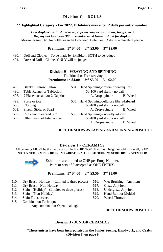#### **Division G – DOLLS**

#### **\*\*Highlighted Category - For 2022, Exhibitors may enter 2 dolls per entry number.**

*Doll displayed with stand or appropriate support (ex: chair, buggy, etc.) Display not to exceed 36". Exhibitor must furnish stand for display.* Maximum size: 36". No bottles or socks to be used. Definition: A doll is a miniature person.

#### **Premiums: 1st \$4.00 2nd \$3.00 3rd \$2.00**

| 490. Doll and Clothes – To be made by Exhibitor, <b>BOTH</b> to be judged |  |  |
|---------------------------------------------------------------------------|--|--|
|                                                                           |  |  |

491. Dressed Doll – Clothes ONLY will be judged

#### **Division H - WEAVING AND SPINNING**

 Traditional or Free weaving. **Premiums: 1st \$4.00 2nd \$3.00 3rd \$2.00**

| 495.<br>496.         | Blanket, Throw, Pillow<br>Table Runner or Tablecloth   | 504. Hand Spinning-protein fiber-requires<br>50-100 yard skein - no ball                               |          |
|----------------------|--------------------------------------------------------|--------------------------------------------------------------------------------------------------------|----------|
| 497.                 | 2 Placemats and/or 2 Napkins                           | A. Drop-spindle                                                                                        | B. Wheel |
| 499.<br>500.<br>501. | Purse or tote<br>Clothing<br>Shawl, Stole, or Scarf    | 505. Hand Spinning-cellulose fibers-labeled<br>50-100 yard skein - no ball<br>A. Drop-spindle B. Wheel |          |
| 502.<br>503.         | Rug - not to exceed 60"<br>Other item not listed above | 506. Hand Spinning – novelty art yarn<br>50-100 yard skein - no ball<br>A. Drop-spindle                | B. Wheel |

#### **BEST OF SHOW-WEAVING AND SPINNING-ROSETTE**

#### **Division I - CERAMICS**

All ceramics MUST be the handwork of the EXHIBITOR. Maximum height or width, overall, is 18". **NO PLASTER CRAFT OR RESIN-- NO WREATHS. ALL LOOSE PIECES MUST BE FIRMLY ATTACHED!**



Exhibitors are limited to ONE per Entry Number. Pairs or sets of 3 accepted as ONE ENTRY.

#### **Premiums: 1st \$4.00 2nd \$3.50 3rd \$3.00**

- 510. Dry Brush- Holiday (Limited to three pieces) 516. Wet Brushing Any Item
- 511. Dry Brush Non-Holiday 517. Glaze Any Item
- 512. Stain (Holiday) (Limited to three pieces) 518. Underglaze Any Item
- 513. Stain (Non-Holiday) 519. Hand Built or Molded
- 514. Stain Translucence 520. Wheel Thrown
- 515. Combination Technique -Any combination-Open to all age
- 
- 
- 
- 

#### **BEST OF SHOW ROSETTE**

#### **Division J - JUNIOR CERAMICS**

**\*These entries have been incorporated in the Junior Sewing, Handwork, and Crafts (Division J) on page 9**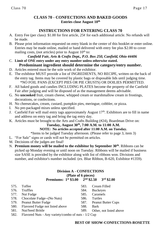# **CLASS 70 - CONFECTIONS AND BAKED GOODS Entries close August 10th**

# **INSTRUCTIONS FOR ENTERING CLASS 70**

- A. Entry Fee (per class): \$1.00 for first article, 25¢ for each additional article. No refunds will be made.
- B. Please print information requested on entry blank in the center of this booklet or enter online. Entries may be made online, mailed or hand delivered with entry fee plus \$2.00 to cover mailing costs, (not articles) prior to August  $10<sup>th</sup>$  to:

#### *Canfield Fair, Arts & Crafts Dept., P.O. Box 250, Canfield, Ohio 44406* C. **Limit of ONE entry under any entry number unless otherwise stated.**

# **Predominant ingredient should determine the category/entry number.**

- D. Articles entered must be the sole work of the exhibitor.
- E. The exhibitor MUST provide a list of INGREDIENTS, NO RECIPE, written on the back of the entry tag. Items may be covered by plastic bags or disposable lids until judging time. \*NO FOIL PANS (EXCEPT PIES OR PIE CRUSTS) OR DOILIES PERMITTED.
- F. All baked goods and candies INCLUDING PLATES become the property of the Canfield Fair after judging and will be disposed of as the management deems advisable.
- G. No **uncooked** fruit, cream cheese, whipped cream or marshmallow cream in frostings, decorations, or confections.
- H. No cheesecakes, cream, custard, pumpkin pies, meringue, cobbler, or pizza.
- I. No pre-packaged mixes unless specified.
- J. Canfield Fair will mail entry tags approximately August  $17<sup>th</sup>$ . Exhibitors are to fill in name and address on entry tag and bring the tag entry day.
- K. Articles must be brought to the Arts and Crafts Building (#24), Boardman Drive on:

# **Tuesday, August 30th, 7:00 A.M. to 11:00 A.M.**

**NOTE: No articles accepted after 11:00 A.M. on Tuesday.**

\*Items to be judged Tuesday afternoon. (Please refer to page 3, item 3)

- L. "For Sale" signs or cards will not be permitted on articles.
- M. Decisions of the judges are final!
- N. **Premium money will be mailed to the exhibitor by September 30th**. Ribbons can be picked up Monday evening or until noon on Tuesday. Ribbons will be mailed if business size SASE is provided by the exhibitor along with list of ribbons won. Divisions and number, and exhibitor's number included. (ex. Blue Ribbon, B-620, Exhibitor #1359).

#### **Division A - CONFECTIONS (Plate of 6 pieces) Premiums: 1st \$3.00 2nd \$2.50 3rd \$2.00**

| 575. Toffee                                                                                                                          | 583. | Cream Filled                 |
|--------------------------------------------------------------------------------------------------------------------------------------|------|------------------------------|
| 576. Truffles                                                                                                                        |      | 584. Buckeyes                |
| 577. Nut Fudge                                                                                                                       |      | 585. Caramels                |
| 578. Chocolate Fudge--(No Nuts)                                                                                                      | 586. | Turtles                      |
| 579. Peanut Butter Fudge                                                                                                             |      | 587. Peanut Butter Cups      |
| 580. Flavored Fudge not listed above                                                                                                 | 588. | Bark                         |
| 581. Nut/Seed Brittle                                                                                                                |      | 589. Other, not listed above |
| $\mathcal{L}(\Omega)$ is in the set of $\mathcal{L}(\Omega)$ in the set of $\mathcal{L}(\Omega)$ is the set of $\mathcal{L}(\Omega)$ |      |                              |

582. Flavored Nuts - Any variety/combo of nuts - 1/2 Cup

#### **BEST OF SHOW-CONFECTIONS-ROSETTE**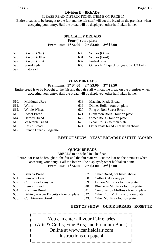#### **Division B - BREADS**

#### PLEASE READ INSTRUCTIONS, ITEM E ON PAGE 17

 Entire bread is to be brought to the fair and the fair staff will cut the bread on the premises when accepting your entry. Half the bread will be displayed; other half taken home.

#### **SPECIALTY BREADS Four (4) on a plate Premiums: 1st \$4.00 2nd \$3.00 3rd \$2.00**

| 595.  | Biscotti (Nut)        | 600. | Scones (Other)                             |
|-------|-----------------------|------|--------------------------------------------|
|       | 596. Biscotti (Other) | 601. | Scones (Fruit)                             |
|       | 597. Biscotti (Fruit) | 602. | Pretzel buns                               |
| 598.  | Sourdough             | 603. | Other - NOT quick or yeast (or $1/2$ loaf) |
| .599. | Flathread             |      |                                            |

#### **YEAST BREADS Premiums: 1st \$4.00 2nd \$3.00 3rd \$2.50**

Entire bread is to be brought to the fair and the fair staff will cut the bread on the premises when accepting your entry. Half the bread will be displayed; other half taken home.

| 610. | Multigrain/Rye               | 618. | Machine Made Bread                   |
|------|------------------------------|------|--------------------------------------|
| 611. | White                        | 619. | Dinner Rolls - four on plate         |
| 612. | Whole Wheat                  | 620. | Ring or Roll Sweet Bread             |
| 613. | Sweet Bread                  | 621. | Cinnamon Rolls - four on plate       |
| 614. | Herbed Bread                 |      | 622. Sweet Rolls - four on plate     |
| 615. | Vegetable Bread              | 623. | Pecan Rolls - four on plate          |
|      | 616. Raisin Bread            | 624. | Other yeast bread - not listed above |
|      | 617. French Bread - Baguette |      |                                      |

#### **BEST OF SHOW – YEAST BREADS ROSETTE AWARD**

#### **QUICK BREADS**

BREADS to be baked in a loaf pan.

Entire loaf is to be brought to the fair and the fair staff will cut the loaf on the premises when accepting your entry. Half the loaf will be displayed; other half taken home. **Premiums: 1st \$4.00 2nd \$3.00 3rd \$2.00**

- 
- 
- 
- 
- 
- 635. Baking Powder Biscuits four on plate 642. Other Fruit Muffins four on plate
- 
- 630. Banana Bread 637. Other Bread, not listed above
- 631. Pumpkin Bread 638. Coffee Cake any pan
- 632. Corn Bread any pan 639. Lemon Muffins four on plate
- 633. Lemon Bread 640. Blueberry Muffins four on plate
- 634. Zucchini Bread 641. Combination Muffins four on plate
	-
- 636. Combination Bread 643. Other Muffins four on plate

#### **BEST OF SHOW – QUICK BREADS - ROSETTE**

l. You can enter all your Fair entries  $\parallel$ (Arts & Crafts; Fine Arts; and Premium Book)  $\mathbf I$  $\parallel$  $\parallel$ Online at www.canfieldfair.com I  $\parallel$  $\parallel$ Instructions on page 4II <u>===============</u>=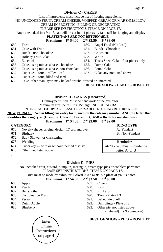Class 70 Page 19

#### **Division C - CAKES**

#### NO UNCOOKED FRUIT, CREAM CHEESE, WHIPPED CREAM OR MARSHMALLOW CREAM IN FROSTING, FILLING OR DECORATING

#### PLEASE SEE INSTRUCTIONS, ITEM E ON PAGE 17.

Any cake baked in a 9 x 13 pan will be cut into 4 pieces by fair staff for judging and display

# **PLATES/PANS ARE NOT RETURNABLE**<br>**Premiums: 1st \$4.00 2nd \$3.50 3rd \$3.00**

#### **Premiums:**  $1^{st}$  \$4.00

- 650. Torte 660. Angel Food (Not Iced)
- 651. Cake with Fruit 661. Bundt Chocolate
- 652. Bundt non-chocolate 662. Chocolate
- 653. Holiday Fruit Cake 663. White
- 654. Zucchini 664. Texas Sheet Cake four pieces only
- 655. Cake, using mix as a base, chocolate 665. Dump Cake
- 656. Cake, using mix as a base, non-chocolate 666. Pound Cake
- 657. Cupcakes four, unfilled, iced 667. Cake, any not listed above
- 658. Cupcakes four, filled and iced
- 659. Cake, other than layer, may be loaf or tube, frosted or unfrosted

#### **BEST OF SHOW - CAKES - ROSETTE**

#### **Division D - CAKES (Decorated)**

Dummy permitted. Must be handwork of the exhibitor.

Maximum size 15" x 15" x 15" high INCLUDING BASE.

#### ENTIRE CAKE/CUPCAKE BASE DISPOSABLE. NOTHING RETURNABLE.

**NEW FORMAT: When filling out entry form, include the category number AND the letter that identifies the icing type. (Example: Class 70, Division D, 665B – Birthday non-fondant)**

# **Premiums: 1st \$4.00 2nd \$3.00 3rd \$2.00**

#### **CATEGORY ICING TYPE**

670. Novelty shape, original design, 17 yrs. and over A. Fondant

- 671. Birthday B. Non-Fondant
- 672. Baby Shower, or Christening
- 673. Wedding Reminder…

.

- 674. Cupcake(s) with or without themed display
- 675. Other, not listed above

#### **Division E - PIES**

No uncooked fruit, custard, pumpkin, meringue, cream type pies or cobblers permitted. PLEASE SEE INSTRUCTIONS, ITEM E ON PAGE 17.

#### Crust must be made by exhibitor. **Baked in 8" or 9" pie plate of your choice**

#### **Premiums: 1st \$4.50 2nd \$3.50 3rd \$3.00**

- 
- 681. Peach 688. Raisin
- 682. Berry, other 689. Rhubarb
- 683. Combination Fruit 690. Tarts Plate of 3
- 
- 
- 



- 
- 680. Apple 687. Cherry
	-
	-
	-
- 684. Pecan 691. Baked Pie Shell
- 685. Dutch Apple 692. Dumplings Plate of 3
- 686. Blueberry 693. Other pie, not listed above

(Labeled).... (No pumpkin)

# **BEST OF SHOW - PIES – ROSETTE**

#670 - 675 must include the letter A, or B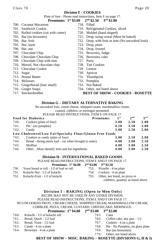#### **Division F - COOKIES**

#### Plate of four - Please read instructions, Item E on page 17.

#### **Premiums: 1st \$3.00 2nd \$2.50 3rd \$2.00**

- 700. Coconut Macaroon 718. Filled 701. Sandwich Cookie 719. Refrigerated Cookies, sliced 702. Rolled cookies (cut with cutter) 720. Molded (hand shaped) 703. Bar (no brownies) 721. Drop, using cereal (Must be baked) 704. Bar, fruit 722. Drop, with fruit or nuts (No uncooked fruit) 705. Bar, layer 723. Drop, plain 706. Bar, nut 724. Drop, frosted 707. Chocolate Chip 725. Brownies, fudge 708. Chocolate Chocolate Chip 726. Brownies, cake 709. Chocolate Chip with nuts 727. Party 710. Morsel, Not chocolate chip 728. Tart Cookies<br>
711. Chocolate Cookie 729. Lemon 711. Chocolate Cookie 712. Sugar 730. Apricot 713. Peanut Butter 731. Thumbprint 714. Molasses 732. Pumpkin 715. Gingerbread (four small) 733. Not Baked 716. Ginger Snaps 734. Other, not listed above
- 
- 

#### 717. Snickerdoodles **BEST OF SHOW - COOKIES - ROSETTE**

#### **Division G – DIETARY ALTERNATIVE BAKING**

No uncooked fruit, cream cheese, whipped cream, marshmallow cream,

custard, cobblers, or meringue permitted.

| PLEASE READ INSTRUCTIONS, ITEM E ON PAGE 17.                    |                       |                 |                 |
|-----------------------------------------------------------------|-----------------------|-----------------|-----------------|
| <b>Food for Diabetics</b>                                       | Premiums:<br>$1^{st}$ | 2 <sub>nd</sub> | 3 <sup>rd</sup> |
| Cookies (plate of four)<br>740.                                 | 3.00                  | 2.50            | 2.00            |
| Pie - (no pumpkin)<br>741.                                      | 4.50                  | 3.50            | 3.00            |
| 742.<br>Candy                                                   | 3.00                  | 2.50            | 2.00            |
| Low Cholesterol/Low Fat/Specialty Flour/Gluten Free Foods       |                       |                 |                 |
| Cookies or candy (plate of four)<br>743.                        | 3.00                  | 2.50            | 2.00            |
| 744.<br>Bread - (bring entire loaf - cut when brought to enter) | 4.00                  | 3.00            | 2.50            |
| 745.<br>Muffins                                                 | 4.00                  | 3.00            | 2.50            |
| OtherMust identify item and list ingredients<br>746.            | 4.00                  | 3.00            | 2.50            |

#### **Division H - INTERNATIONAL BAKED GOODS**

PLEASE READ INSTRUCTIONS, ITEM E AND F ON PAGE 17.

**Premiums: 1st \$4.00 2nd \$3.00 3rd \$2.50**

| 750. | Yeast bread or roll - 1/2 of loaf or roll | 753. Pizzelle - 4 on plate |
|------|-------------------------------------------|----------------------------|
|      | 751. Kolachi-Nut - 1/2 of kolachi         | 754. Cookies - 4 on plate  |
|      |                                           |                            |

- 
- 752. Kolachi-Fruit 1/2 of kolachi 755. Other, not listed, no pizza or cobblers, quantity as listed above

#### **Division I - BAKING (Open to Men Only)**

RECIPE MAY NOT BE USED IN ANY OTHER DIVISION.

#### PLEASE READ INSTRUCTIONS, ITEM E AND F ON PAGE 17.

## NO UNCOOKED FRUIT, CREAM CHEESE, WHIPPED CREAM, MARSHMALLOW CREAM,

#### COBBLER, PIZZA, CREAM, CUSTARD, CHEESECAKE, MERINGUE.

# **Premiums: 1st \$4.00 2nd \$3.00 3rd \$2.00**

| 760. Kolachi - 1/2 of kolachi roll | 765. Cake |                                  |
|------------------------------------|-----------|----------------------------------|
| 761. Bread, Quick - 1/2 loaf       |           | 766. Coffee cake, any pan $-1/2$ |

- 
- 
- 764. Brownies 4 on a plate 769. Bar (no brownies)
- 762. Bread, Yeast 1/2 loaf 767. Cookies 4 on a plate 763. Candy - 6 on a plate 768. Pie - No Pumpkin, no glass plate
	-
	- 770. Other, not listed above

**BEST OF SHOW – MISC. BAKING – ROSETTE (DIVSIONS G, H & I)**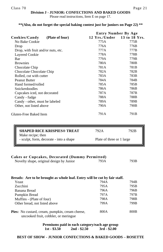#### **Division J - JUNIOR: CONFECTIONS AND BAKED GOODS**

Please read instructions, Item E on page 17.

#### **\*\*(Also, do not forget the special baking contest just for juniors on Page 22) \*\***

|                                    | <b>Entry Number By Age</b>  |      |
|------------------------------------|-----------------------------|------|
| (Plate of four)<br>Cookies/Candy   | 12 Yrs./Under 13 to 18 Yrs. |      |
| No Bake Cookie                     | 775A                        | 775B |
| Drop                               | 776A                        | 776B |
| Drop, with fruit and/or nuts, etc. | 777A                        | 777B |
| Layered Cookie                     | 778A                        | 778B |
| Bar                                | 779A                        | 779B |
| <b>Brownies</b>                    | 780A                        | 780B |
| Chocolate Chip                     | 781A                        | 781B |
| Chocolate Chocolate Chip           | 782A                        | 782B |
| Rolled, cut with cutter            | 783A                        | 783B |
| <b>Peanut Butter</b>               | 784A                        | 784B |
| Hand formed/rolled                 | 785A                        | 785B |
| <b>Snickerdoodles</b>              | 786A                        | 786B |
| Cupcakes iced, not decorated       | 787A                        | 787B |
| Candy - fudge                      | 788A                        | 788B |
| Candy - other, must be labeled     | 789A                        | 789B |
| Other, not listed above            | 790A                        | 790B |
| Gluten-Free Baked Item             | 791A                        | 791B |
|                                    |                             |      |

| <b>SHAPED RICE KRISPIES® TREAT</b>                           | 792A                      | 792B |
|--------------------------------------------------------------|---------------------------|------|
| Make recipe; then<br>- sculpt, form, decorate - into a shape | Plate of three or 1 large |      |

#### **Cakes or Cupcakes, Decorated (Dummy Permitted)**

Novelty shape, original design by Junior 793A 793B

#### **Breads: Are to be brought as whole loaf. Entry will be cut by fair staff.**

| Yeast                                                                                          | 794A | 794B             |
|------------------------------------------------------------------------------------------------|------|------------------|
| Zucchini                                                                                       | 795A | 795B             |
| Banana Bread                                                                                   | 796A | 796B             |
| Pumpkin Bread                                                                                  | 797A | 797B             |
| Muffins - (Plate of four)                                                                      | 798A | 798B             |
| Other bread, not listed above                                                                  | 799A | 799B             |
| <b>Pies:</b> No custard, cream, pumpkin, cream cheese,<br>uncooked fruit, cobbler, or meringue | 800A | 800 <sub>B</sub> |

**Premiums paid in each category/each age group 1st - \$3.50 2nd - \$2.50 3rd - \$2.00**

#### **BEST OF SHOW - JUNIOR CONFECTIONS & BAKED GOODS – ROSETTE**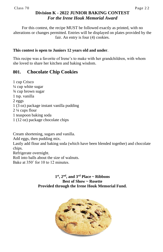# **Division K - 2022 JUNIOR BAKING CONTEST** *For the Irene Houk Memorial Award*

For this contest, the recipe MUST be followed exactly as printed, with no alterations or changes permitted. Entries will be displayed on plates provided by the fair. An entry is four (4) cookies.

# **This contest is open to Juniors 12 years old and under**.

This recipe was a favorite of Irene's to make with her grandchildren, with whom she loved to share her kitchen and baking wisdom.

# **801. Chocolate Chip Cookies**

1 cup Crisco ¼ cup white sugar ¾ cup brown sugar 1 tsp. vanilla 2 eggs 1 (3 oz) package instant vanilla pudding 2 ¼ cups flour 1 teaspoon baking soda 1 (12 oz) package chocolate chips

Cream shortening, sugars and vanilla. Add eggs, then pudding mix. Lastly add flour and baking soda (which have been blended together) and chocolate chips. Refrigerate overnight.

Roll into balls about the size of walnuts. Bake at 350˚ for 10 to 12 minutes.

# $1<sup>st</sup>$ ,  $2<sup>nd</sup>$ , and  $3<sup>rd</sup>$  Place ~ Ribbons **Best of Show ~ Rosette Provided through the Irene Houk Memorial Fund.**

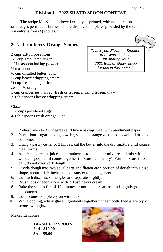# **Division L - 2022 SILVER SPOON CONTEST**

The recipe MUST be followed exactly as printed, with no alterations or changes permitted. Entries will be displayed on plates provided by the fair. An entry is four (4) scones.

# **802. Cranberry Orange Scones**

2 cups all-purpose flour 1/3 cup granulated sugar 1 ½ teaspoon baking powder ½ teaspoon salt ½ cup unsalted butter, cold  $\frac{1}{2}$  cup heavy whipping cream ¼ cup fresh orange juice zest of ½ orange 1 cup cranberries, halved (fresh or frozen, if using frozen, thaw)

2 Tablespoons heavy whipping cream

Glaze

1 ½ cups powdered sugar

4 Tablespoons fresh orange juice

- 1. Preheat oven to 375 degrees and line a baking sheet with parchment paper.
- 2. Place flour, sugar, baking powder, salt, and orange zest into a bowl and mix to combine.
- 3. Using a pastry cutter or 2 knives, cut the butter into the dry mixture until coarse meal forms
- 4. Add ½ cup cream, juice, and cranberries to the butter mixture and mix with wooden spoon until comes together (mixture will be dry). Form mixture into a ball, do not overwork dough.
- 5. Divide dough into two equal parts and flatten each portion of dough into a disc shape, about  $1-1\frac{1}{2}$  inches thick: transfer to baking sheet.
- 6. Cut each disc into 6 triangles and separate slightly.
- 7. Brush tops of each scone with 2 Tbsp heavy cream.
- 8. Bake the scones for 14-18 minutes or until centers are set and slightly golden on bottoms.
- 9. Cool scones completely on wire rack.
- 10. While cooling, whisk glaze ingredients together until smooth, then glaze top of scones with glaze.

Makes 12 scones

**1st - SILVER SPOON 2nd - \$10.00 3rd - \$5.00**





*Thank you, Elizabeth Stouffer, from Warren, Ohio, for sharing your 2021 Best of Show recipe for use in this contest.*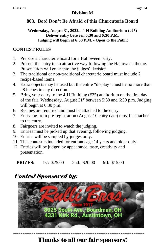# **Division M**

# **803. Boo! Don't Be Afraid of this Charcuterie Board**

# **Wednesday, August 31, 2022... 4-H Building Auditorium (#25) Deliver entry between 5:30 and 6:30 P.M. Judging will begin at 6:30 P.M. - Open to the Public**

# **CONTEST RULES**

- 1. Prepare a charcuterie board for a Halloween party.
- 2. Present the entry in an attractive way following the Halloween theme. Presentation will enter into the judges' decision.
- 3. The traditional or non-traditional charcuterie board must include 2 recipe-based items.
- 4. Extra objects may be used but the entire "display" must be no more than 28 inches in any direction.
- 5. Bring your entry to the 4-H Building (#25) auditorium on the first day of the fair, Wednesday, August 31<sup>st</sup> between 5:30 and 6:30 p.m. Judging will begin at 6:30 p.m.
- 6. Recipes are required and must be attached to the entry.
- 7. Entry tag from pre-registration (August 10 entry date) must be attached to the entry.
- 8. Fairgoers are invited to watch the judging.
- 9. Entries must be picked up that evening, following judging.
- 10. Entries will be sampled by judges only.
- 11. This contest is intended for entrants age 14 years and older only.
- 12. Entries will be judged by appearance, taste, creativity and presentation.

**PRIZES:** 1st: \$25.00 2nd: \$20.00 3rd: \$15.00

# *Contest Sponsored by:*



# Thanks to all our fair sponsors!

*\*\*\*\*\*\*\*\*\*\*\*\*\*\*\*\*\*\*\*\*\*\*\*\*\*\*\*\*\*\*\*\*\*\*\*\*\*\*\*\*\*\*\*\*\*\*\*\*\*\*\*\*\*\*\*\*\*\*\*\*\*\*\*\*\*\*\*\*\*\*\**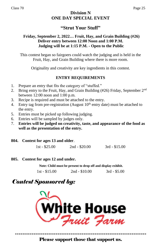# **Division N ONE DAY SPECIAL EVENT**

# **"Strut Your Stuff"**

# **Friday, September 2, 2022… Fruit, Hay, and Grain Building (#26) Deliver entry between 12:00 Noon and 1:00 P.M. Judging will be at 1:15 P.M. - Open to the Public**

This contest began so fairgoers could watch the judging and is held in the Fruit, Hay, and Grain Building where there is more room.

Originality and creativity are key ingredients in this contest.

# **ENTRY REQUIREMENTS**

- 1. Prepare an entry that fits the category of "stuffed."
- 2. Bring entry to the Fruit, Hay, and Grain Building  $(\#26)$  Friday, September  $2<sup>nd</sup>$ between 12:00 noon and 1:00 p.m.
- 3. Recipe is required and must be attached to the entry.
- 4. Entry tag from pre-registration (August  $10<sup>th</sup>$  entry date) must be attached to the entry.
- 5. Entries must be picked up following judging.
- 6. Entries will be sampled by judges only.
- 7. **Entries will be judged on creativity, taste, and appearance of the food as well as the presentation of the entry.**
- **804. Contest for ages 13 and older**.

|  | $1st - $25.00$ | $2nd - $20.00$ | $3rd - $15.00$ |
|--|----------------|----------------|----------------|
|--|----------------|----------------|----------------|

**805. Contest for ages 12 and under.** 

**Note: Child must be present to drop off and display exhibit.**

1st - \$15.00 2nd - \$10.00 3rd - \$5.00

# *Contest Sponsored by:*



*\*\*\*\*\*\*\*\*\*\*\*\*\*\*\*\*\*\*\*\*\*\*\*\*\*\*\*\*\*\*\*\*\*\*\*\*\*\*\*\*\*\*\*\*\*\*\*\*\*\*\*\*\*\*\*\*\*\*\*\*\*\*\*\*\*\*\*\*\*\*\** Please support those that support us.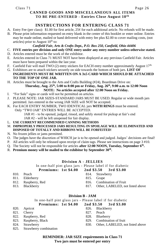# **CANNED GOODS AND MISCELLANEOUS ALL ITEMS TO BE PRE-ENTERED - Entries Close August 10<sup>th</sup>**

# **INSTRUCTIONS FOR ENTERING CLASS 71**

- A. Entry Fee (per class): \$1.00 for first article, 25¢ for each additional article. No refunds will be made.
- B. Please print information requested on entry blank in the center of this booklet or enter online. Entries may be made online, mailed or hand delivered with entry fee plus \$2.00 to cover mailing costs, (not articles) prior to August  $10<sup>th</sup>$  to:

### *Canfield Fair, Arts & Crafts Dept., P.O. Box 250, Canfield, Ohio 44406*

- C. **FIVE entries per division and only ONE entry under any entry number unless otherwise stated.** D. Articles entered must be the work of the exhibitor.
- E. Articles entered in Class 71 MUST NOT have been displayed at any previous Canfield Fair. Articles must have been prepared within the last year.
- F. Canfield Fair will mail TWO (2) entry stickers for EACH entry number approximately August  $17<sup>th</sup>$ .
- G. Exhibitors are to attach stickers securely on side towards the bottom of both jars. **LIST OF INGREDIENTS MUST BE WRITTEN ON A 3x5 CARD WHICH SHOULD BE ATTACHED TO THE TOP OF ONE JAR.**
- H. Articles must be brought to the Arts and Crafts Building (#24), Boardman Drive on: **Thursday, Aug. 25th, 5:00 to 8:00 pm or Friday, Aug. 26th, 9:00 a.m. to 12:00 Noon**

**NOTE: No articles accepted after 12:00 Noon on Friday.**

- I. "For Sale" signs or cards will not be permitted on articles.
- J. PLEASE NOTE: JAR SIZES-STANDARD JARS MUST BE USED. Regular or wide mouth jars permitted. Jars entered in the wrong JAR SIZE will NOT be accepted.
- K. For EACH ENTRY NUMBER, TWO IDENTICAL jars **WITH RINGS** must be entered. Only "TWO JAR" ENTRIES WILL BE ACCEPTED. JAR #1 - to be opened, judged, rinsed, and safely stored for pickup at fair's end
	- JAR #2 will be left unopened for fair display.
- L. **USE CURRENT RECOMMENDED CANNING METHODS**
- M. **IMPROPERLY PROCESSED JARS RESULTING IN SPOILAGE WILL BE ELIMINATED AND DISPOSED OF TOTALLY AND RIBBONS WILL BE FORFEITED!**
- N. No frozen jellies or jams permitted.
- O. The judges have the discretion of WHICH jar is to be opened and judged. Judges' decisions are final!
- P. All articles will only be released upon receipt of claim tags. Please see instructions on page 3 #10.
- Q. The Society will not be responsible for articles **after 12:00 NOON, Tuesday, September 6th .**
- R. **Premium money will be mailed to the exhibitor by September 30th .**

#### **Division A - JELLIES**

In one-half pint glass jars - Please label if for diabetic

**Premiums: 1st \$4.00 2nd \$3.50 3rd \$3.00**

- 810. Peach 814. Strawberry
- 811. Elderberry 815. Grape
- 
- 
- 
- 812. Raspberry, Red 816. Combination of Fruit
- 813. Blackberry 817. Other, LABELED, not listed above

#### **Division B - JAM**

In one-half pint glass jars - Please label if for diabetic

| Premiums: 1st \$4.00 |  | 2nd \$3.50 | 3rd \$3.00 |
|----------------------|--|------------|------------|
|----------------------|--|------------|------------|

- 820. Apricot 826. Blackberry
- 821. Cherry 827. Peach
- 822. Raspberry, Red 828. Blueberry
- 
- 
- 825. Strawberry combination

- 
- 823. Raspberry, Black 829. Combination of fruit
- 824. Strawberry 830. Other, LABELED, not listed above
	- **REMINDER: JAR SIZE requirements in Class 71 Two jars must be entered per entry**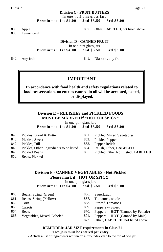**Division C - FRUIT BUTTERS** In one-half pint glass jars **Premiums: 1st \$4.00 2nd \$3.50 3rd \$3.00**

836. Lemon curd

835. Apple 837. Other, **LABELED**, not listed above

**Division D - CANNED FRUIT** In one-pint glass jars **Premiums: 1st \$4.00 2nd \$3.50 3rd \$3.00**

840. Any fruit 841. Diabetic, any fruit

# **IMPORTANT**

**In accordance with food health and safety regulations related to food preservation, no entries canned in oil will be accepted, tasted, or displayed.**

## **Division E – RELISHES and PICKLED FOODS MUST BE MARKED if "HOT OR SPICY"**

In one-pint glass jars **Premiums: 1st \$4.00 2nd \$3.50 3rd \$3.00**

- 
- 
- 847. Pickles, Dill 853. Pepper Relish<br>848. Pickles, Other, ingredients to be listed 854. Relish, Other, 848. Pickles, Other, ingredients to be listed 854. Relish, Other, **LABELED**
- 
- 850. Beets, Pickled
- 845. Pickles, Bread & Butter 851. Pickled Mixed Vegetables
- 846. Pickles, Sweet 852. Pickled Peppers
	-
	-
- 849. Pickled Beans 855. Pickled Other Not Listed, **LABELED**

## **Division F - CANNED VEGETABLES - Not Pickled Please mark if "HOT OR SPICY"**

In one-pint glass jars

| Premiums: 1st \$4.00 | 2nd \$3.50 | 3rd \$3.00 |
|----------------------|------------|------------|
|                      |            |            |

| 860. Beans, String (Green)      | 866. | Sauerkraut                               |
|---------------------------------|------|------------------------------------------|
| 861. Beans, String (Yellow)     | 867. | Tomatoes, whole                          |
| Corn                            | 868. | <b>Stewed Tomatoes</b>                   |
| Carrots                         |      | 869. Peppers -- Sweet                    |
| <b>Beets</b>                    | 870. | Peppers -- <b>HOT</b> (Canned by Female) |
| 865. Vegetables, Mixed, Labeled | 871. | Peppers -- <b>HOT</b> (Canned by Male)   |
|                                 | 872. | Other, <b>LABELED</b> , not listed above |
|                                 |      |                                          |

#### **REMINDER: JAR SIZE requirements in Class 71 Two jars must be entered per entry**

- **Attach** a list of ingredients written on a 3x5 index card to the top of one jar.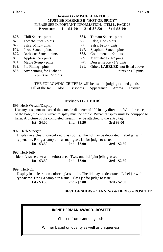#### **Division G - MISCELLANEOUS MUST BE MARKED if "HOT OR SPICY"** PLEASE SEE IMPORTANT INFORMATION, ITEM L, PAGE 26 **Premiums: 1st \$4.00 2nd \$3.50 3rd \$3.00**

| 875. | Chili Sauce - pints      | 884. | Tomato Sauce - pints             |
|------|--------------------------|------|----------------------------------|
| 876. | Tomato Juice - pints     | 885. | Salsa, Hot - pints               |
|      | 877. Salsa, Mild - pints | 886. | Salsa, Fruit - pints             |
| 878. | Pizza Sauce - pints      | 887. | Spaghetti Sauce - pints          |
| 879. | Barbecue Sauce - pints   | 888. | Condiment - $1/2$ pints          |
| 880. | Applesauce - pints       | 889. | Marmalade - 1/2 pints            |
| 881. | Maple Syrup - pints      | 890. | Dessert sauce - $1/2$ pints      |
| 882. | Pie Filling - pints      | 891. | Other, LABELED, not listed above |
| 883. | Any canning for Diabetic |      | - pints or $1/2$ pints           |
|      | - pints or $1/2$ pints   |      |                                  |

THE FOLLOWING CRITERIA will be used in judging canned goods. Fill of the Jar... Color... Crispness... Appearance... Aroma... Texture...

## **Division H - HERBS**

896. Herb Wreath/Display

Use any base, not to exceed the outside diameter of 10" in any direction. With the exception of the base, the entire wreath/display must be edible. Wreath/Display must be equipped to hang. A picture of the completed wreath may be attached to the entry tag.

|  | $1st - $4.00$ | $2nd - $3.50$ | 3rd \$3.00 |
|--|---------------|---------------|------------|
|  |               |               |            |

897. Herb Vinegar

 Display in a clear, non-colored glass bottle. The lid may be decorated. Label jar with type/name. Bring a sample in a small glass jar for judge to taste.

**1st - \$3.50 2nd - \$3.00 3rd - \$2.50**

898. Herb Jelly

 Identify sweetener and herb(s) used. Two, one-half pint jelly glasses  **1st - \$3.50 2nd - \$3.00 3rd - \$2.50** 

899. Herb Oil

 Display in a clear, non-colored glass bottle. The lid may be decorated. Label jar with type/name. Bring a sample in a small glass jar for judge to taste. **1st - \$3.50 2nd - \$3.00 3rd - \$2.50**

#### **BEST OF SHOW - CANNING & HERBS – ROSETTE**

#### **IRENE HERMAN AWARD--ROSETTE**

Chosen from canned goods.

Winner based on quality as well as uniqueness.

*Thank you to the Irene Herman Memorial Fund*